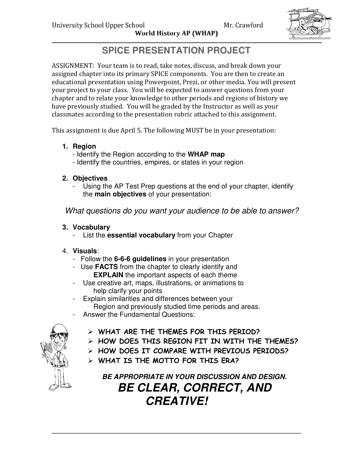

World History AP (WHAP)

# **SPICE PRESENTATION PROJECT**

ASSIGNMENT: Your team is to read, take notes, discuss, and break down your assigned chapter into its primary SPICE components. You are then to create an educational presentation using Powerpoint, Prezi, or other media. You will present your project to your class. You will be expected to answer questions from your chapter and to relate your knowledge to other periods and regions of history we have previously studied. You will be graded by the Instructor as well as your classmates according to the presentation rubric attached to this assignment.

This assignment is due April 5. The following MUST be in your presentation:

- **1. Region** 
	- Identify the Region according to the **WHAP map**
	- Identify the countries, empires, or states in your region

## **2. Objectives**

Using the AP Test Prep questions at the end of your chapter, identify the **main objectives** of your presentation:

What questions do you want your audience to be able to answer?

## **3. Vocabulary**

List the **essential vocabulary** from your Chapter

# 4. **Visuals**:

- Follow the **6-6-6 guidelines** in your presentation
- Use **FACTS** from the chapter to clearly identify and **EXPLAIN** the important aspects of each theme
- Use creative art, maps, illustrations, or animations to help clarify your points
- Explain similarities and differences between your Region and previously studied time periods and areas.
- Answer the Fundamental Questions:



- WHAT ARE THE THEMES FOR THIS PERIOD?
- HOW DOES THIS REGION FIT IN WITH THE THEMES?
- > HOW DOES IT COMPARE WITH PREVIOUS PERIODS?
- WHAT IS THE MOTTO FOR THIS ERA?

**BE APPROPRIATE IN YOUR DISCUSSION AND DESIGN. BE CLEAR, CORRECT, AND CREATIVE!**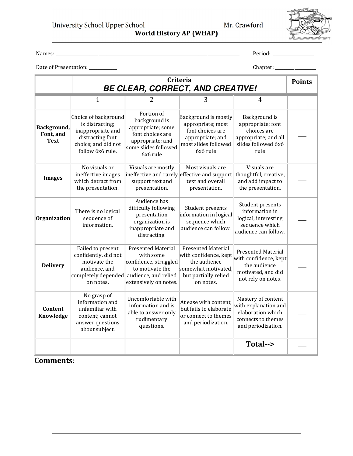University School Upper School Mr. Crawford

World History AP (WHAP)

Names: \_\_\_\_\_\_\_\_\_\_\_\_\_\_\_\_\_\_\_\_\_\_\_\_\_\_\_\_\_\_\_\_\_\_\_\_\_\_\_\_\_\_\_\_\_\_\_\_\_\_\_\_\_\_\_\_\_\_\_\_\_\_\_\_\_\_\_\_\_\_\_\_\_\_\_\_\_\_\_\_\_\_\_\_\_\_ Period: \_\_\_\_\_\_\_\_\_\_\_\_\_\_\_\_\_\_\_

Date of Presentation: \_\_\_\_\_\_\_\_\_\_\_\_\_ Chapter: \_\_\_\_\_\_\_\_\_\_\_\_\_\_\_\_\_\_\_

<u> 1989 - Johann Barnett, f</u>

|                                         | Criteria<br><b>BE CLEAR, CORRECT, AND CREATIVE!</b>                                                                                 |                                                                                                                              |                                                                                                                                |                                                                                                             | <b>Points</b> |
|-----------------------------------------|-------------------------------------------------------------------------------------------------------------------------------------|------------------------------------------------------------------------------------------------------------------------------|--------------------------------------------------------------------------------------------------------------------------------|-------------------------------------------------------------------------------------------------------------|---------------|
|                                         | 1                                                                                                                                   | 2                                                                                                                            | 3                                                                                                                              | $\overline{4}$                                                                                              |               |
| Background,<br>Font, and<br><b>Text</b> | Choice of background<br>is distracting;<br>inappropriate and<br>distracting font<br>choice; and did not<br>follow 6x6 rule.         | Portion of<br>background is<br>appropriate; some<br>font choices are<br>appropriate; and<br>some slides followed<br>6x6 rule | Background is mostly<br>appropriate; most<br>font choices are<br>appropriate; and<br>most slides followed<br>6x6 rule          | Background is<br>appropriate; font<br>choices are<br>appropriate; and all<br>slides followed 6x6<br>rule    |               |
| <b>Images</b>                           | No visuals or<br>ineffective images<br>which detract from<br>the presentation.                                                      | Visuals are mostly<br>support text and<br>presentation.                                                                      | Most visuals are<br>ineffective and rarely effective and support<br>text and overall<br>presentation.                          | Visuals are<br>thoughtful, creative,<br>and add impact to<br>the presentation.                              |               |
| Organization                            | There is no logical<br>sequence of<br>information.                                                                                  | Audience has<br>difficulty following<br>presentation<br>organization is<br>inappropriate and<br>distracting.                 | Student presents<br>information in logical<br>sequence which<br>audience can follow.                                           | Student presents<br>information in<br>logical, interesting<br>sequence which<br>audience can follow.        |               |
| <b>Delivery</b>                         | Failed to present<br>confidently, did not<br>motivate the<br>audience, and<br>completely depended audience, and relied<br>on notes. | <b>Presented Material</b><br>with some<br>confidence, struggled<br>to motivate the<br>extensively on notes.                  | <b>Presented Material</b><br>with confidence, kept<br>the audience<br>somewhat motivated,<br>but partially relied<br>on notes. | Presented Material<br>with confidence, kept<br>the audience<br>motivated, and did<br>not rely on notes.     |               |
| Content<br>Knowledge                    | No grasp of<br>information and<br>unfamiliar with<br>content; cannot<br>answer questions<br>about subject.                          | Uncomfortable with<br>information and is<br>able to answer only<br>rudimentary<br>questions.                                 | At ease with content,<br>but fails to elaborate<br>or connect to themes<br>and periodization.                                  | Mastery of content<br>with explanation and<br>elaboration which<br>connects to themes<br>and periodization. |               |
|                                         |                                                                                                                                     |                                                                                                                              |                                                                                                                                | Total-->                                                                                                    |               |

#### Comments: